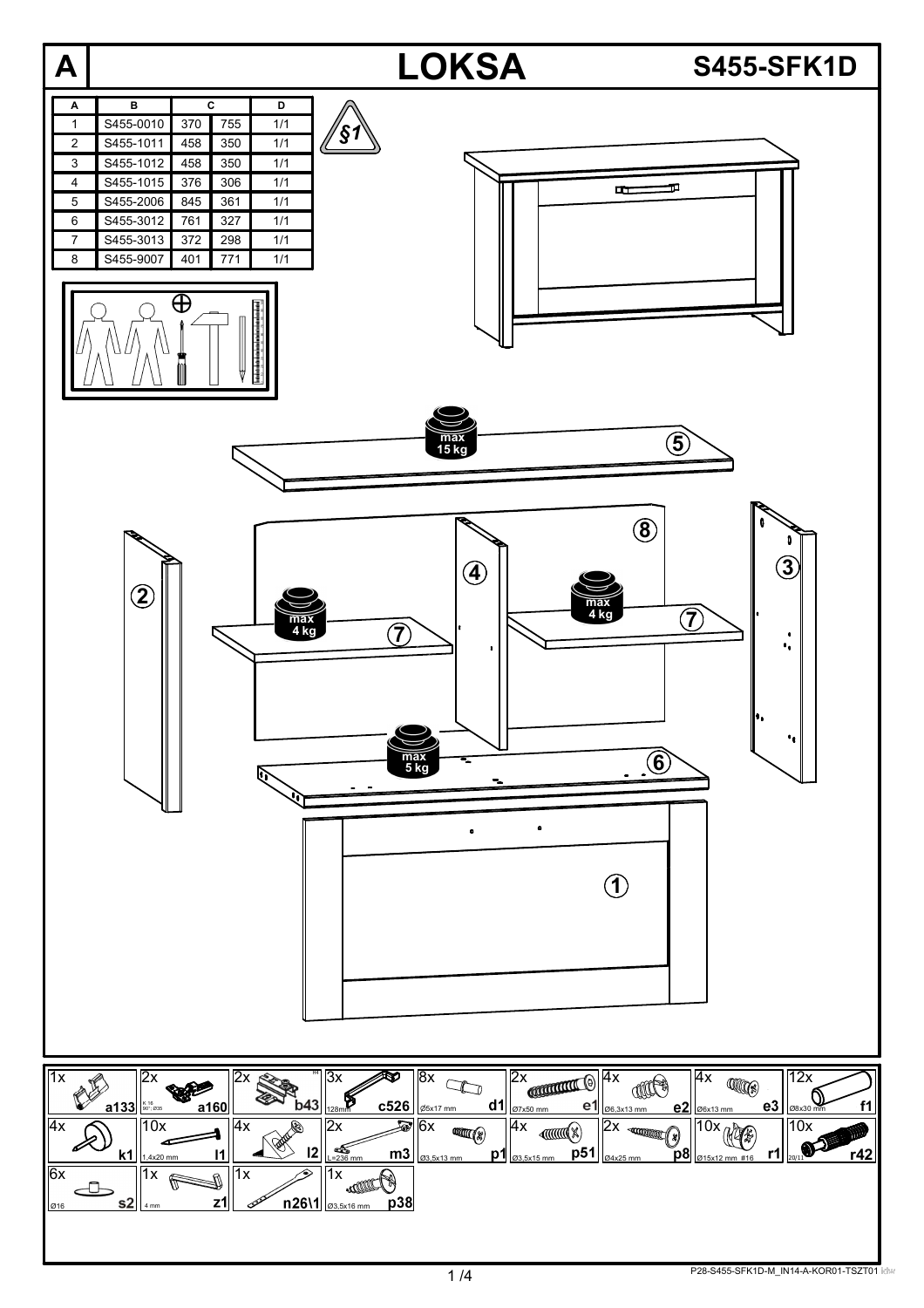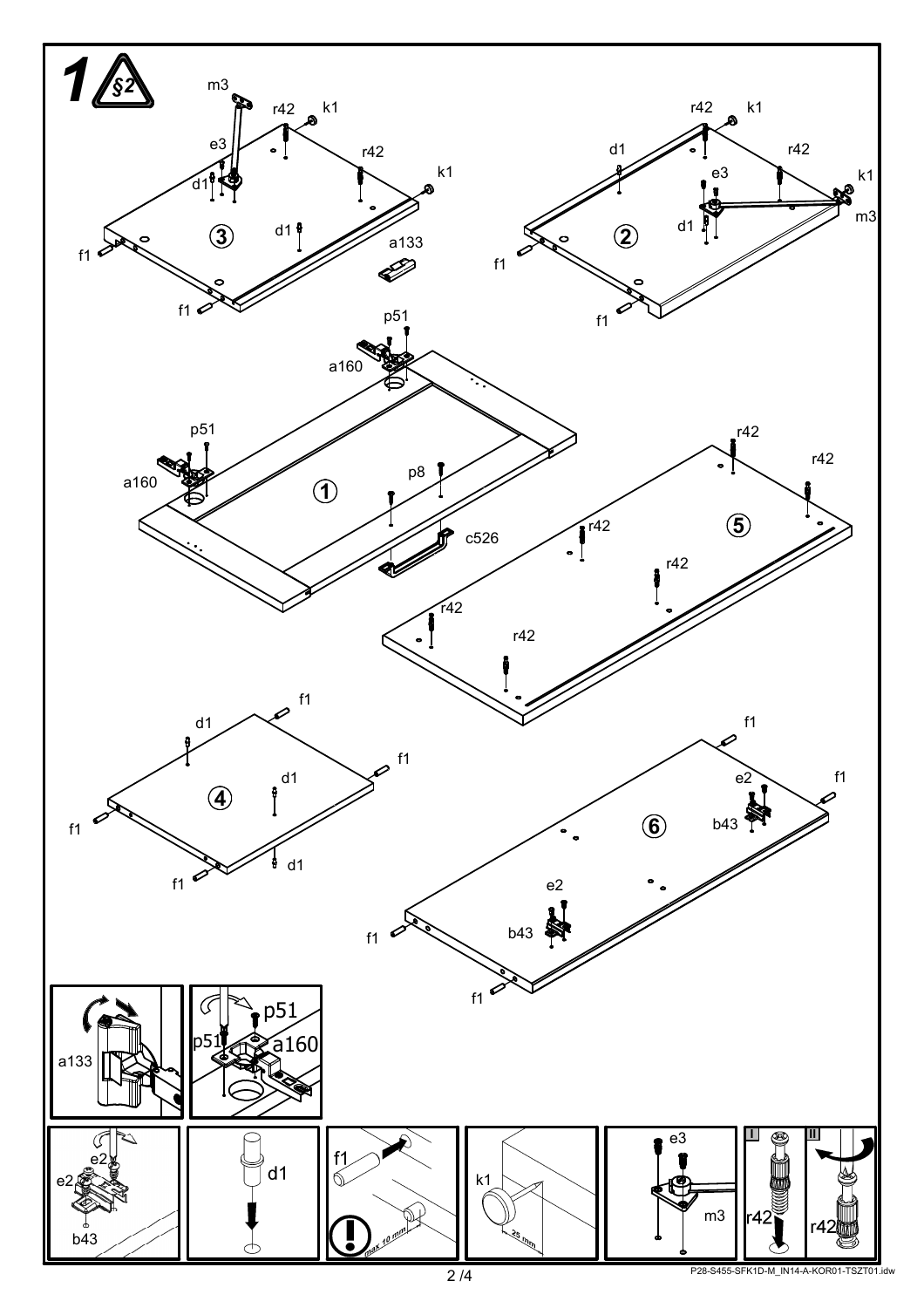

P28-S455-SFK1D-M\_IN14-A-KOR01-TSZT01.idw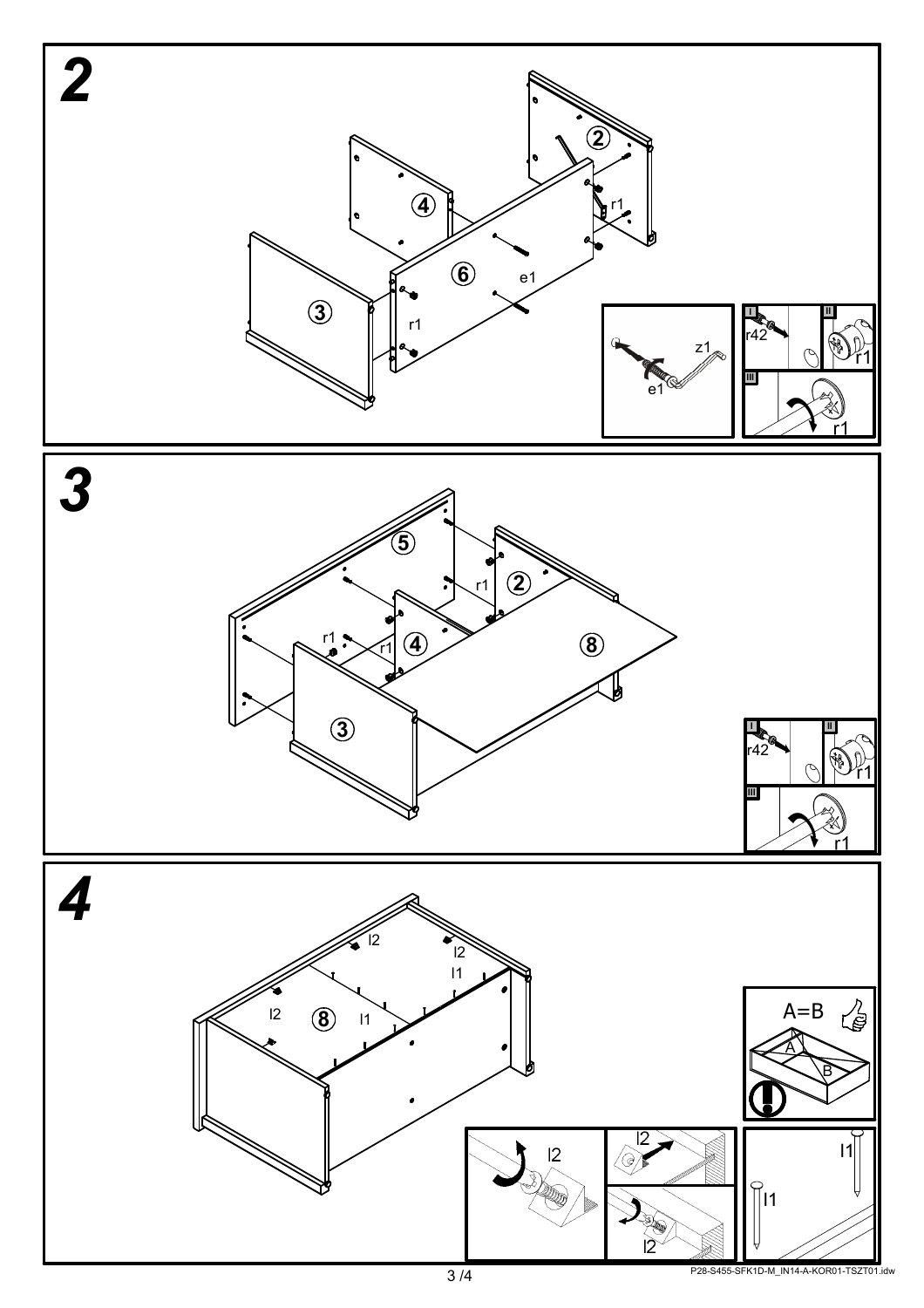

P28-S455-SFK1D-M\_IN14-A-KOR01-TSZT01.idw